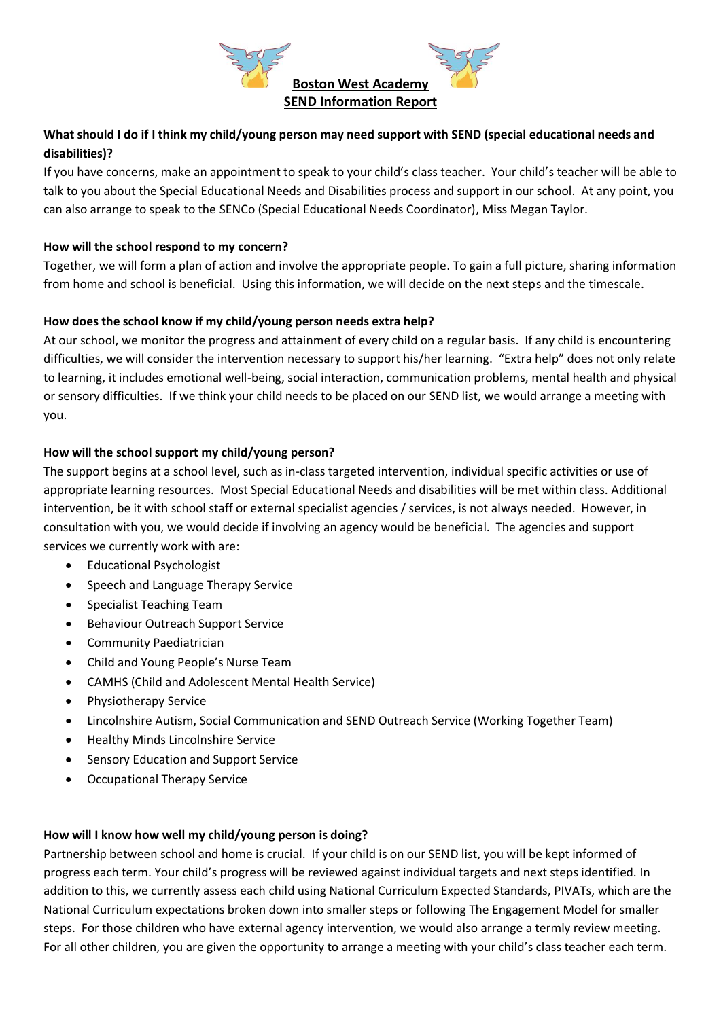

# **What should I do if I think my child/young person may need support with SEND (special educational needs and disabilities)?**

If you have concerns, make an appointment to speak to your child's class teacher. Your child's teacher will be able to talk to you about the Special Educational Needs and Disabilities process and support in our school. At any point, you can also arrange to speak to the SENCo (Special Educational Needs Coordinator), Miss Megan Taylor.

## **How will the school respond to my concern?**

Together, we will form a plan of action and involve the appropriate people. To gain a full picture, sharing information from home and school is beneficial. Using this information, we will decide on the next steps and the timescale.

#### **How does the school know if my child/young person needs extra help?**

At our school, we monitor the progress and attainment of every child on a regular basis. If any child is encountering difficulties, we will consider the intervention necessary to support his/her learning. "Extra help" does not only relate to learning, it includes emotional well-being, social interaction, communication problems, mental health and physical or sensory difficulties. If we think your child needs to be placed on our SEND list, we would arrange a meeting with you.

#### **How will the school support my child/young person?**

The support begins at a school level, such as in-class targeted intervention, individual specific activities or use of appropriate learning resources. Most Special Educational Needs and disabilities will be met within class. Additional intervention, be it with school staff or external specialist agencies / services, is not always needed. However, in consultation with you, we would decide if involving an agency would be beneficial. The agencies and support services we currently work with are:

- Educational Psychologist
- Speech and Language Therapy Service
- Specialist Teaching Team
- Behaviour Outreach Support Service
- Community Paediatrician
- Child and Young People's Nurse Team
- CAMHS (Child and Adolescent Mental Health Service)
- Physiotherapy Service
- Lincolnshire Autism, Social Communication and SEND Outreach Service (Working Together Team)
- Healthy Minds Lincolnshire Service
- Sensory Education and Support Service
- Occupational Therapy Service

## **How will I know how well my child/young person is doing?**

Partnership between school and home is crucial. If your child is on our SEND list, you will be kept informed of progress each term. Your child's progress will be reviewed against individual targets and next steps identified. In addition to this, we currently assess each child using National Curriculum Expected Standards, PIVATs, which are the National Curriculum expectations broken down into smaller steps or following The Engagement Model for smaller steps. For those children who have external agency intervention, we would also arrange a termly review meeting. For all other children, you are given the opportunity to arrange a meeting with your child's class teacher each term.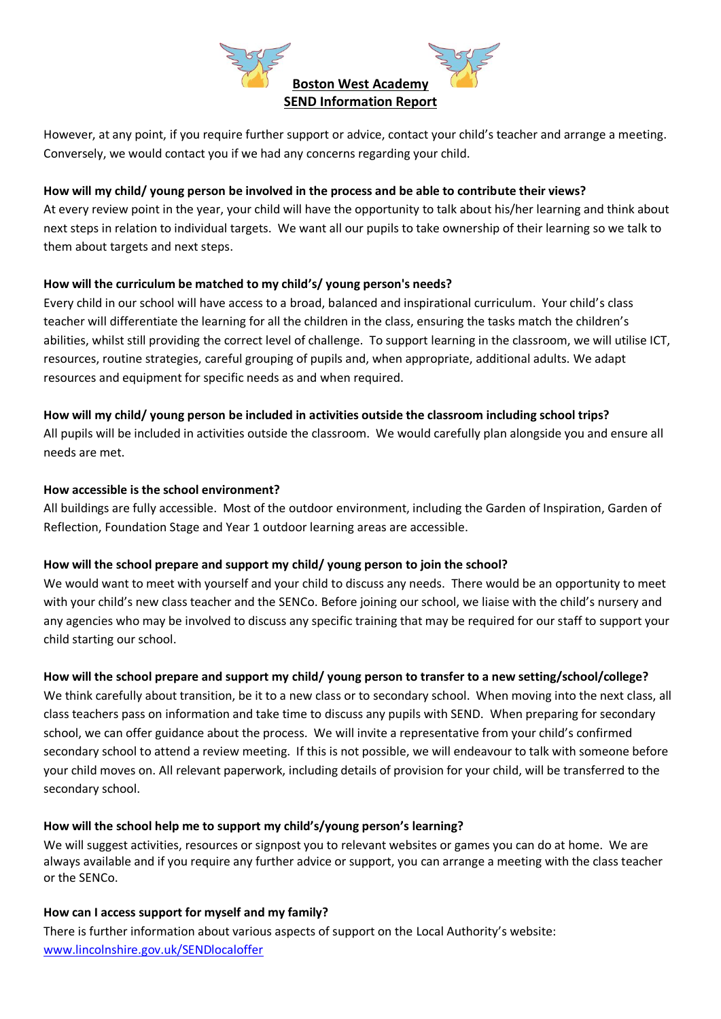

However, at any point, if you require further support or advice, contact your child's teacher and arrange a meeting. Conversely, we would contact you if we had any concerns regarding your child.

### **How will my child/ young person be involved in the process and be able to contribute their views?**

At every review point in the year, your child will have the opportunity to talk about his/her learning and think about next steps in relation to individual targets. We want all our pupils to take ownership of their learning so we talk to them about targets and next steps.

#### **How will the curriculum be matched to my child's/ young person's needs?**

Every child in our school will have access to a broad, balanced and inspirational curriculum. Your child's class teacher will differentiate the learning for all the children in the class, ensuring the tasks match the children's abilities, whilst still providing the correct level of challenge. To support learning in the classroom, we will utilise ICT, resources, routine strategies, careful grouping of pupils and, when appropriate, additional adults. We adapt resources and equipment for specific needs as and when required.

#### **How will my child/ young person be included in activities outside the classroom including school trips?**

All pupils will be included in activities outside the classroom. We would carefully plan alongside you and ensure all needs are met.

#### **How accessible is the school environment?**

All buildings are fully accessible. Most of the outdoor environment, including the Garden of Inspiration, Garden of Reflection, Foundation Stage and Year 1 outdoor learning areas are accessible.

## **How will the school prepare and support my child/ young person to join the school?**

We would want to meet with yourself and your child to discuss any needs. There would be an opportunity to meet with your child's new class teacher and the SENCo. Before joining our school, we liaise with the child's nursery and any agencies who may be involved to discuss any specific training that may be required for our staff to support your child starting our school.

## **How will the school prepare and support my child/ young person to transfer to a new setting/school/college?**

We think carefully about transition, be it to a new class or to secondary school. When moving into the next class, all class teachers pass on information and take time to discuss any pupils with SEND. When preparing for secondary school, we can offer guidance about the process. We will invite a representative from your child's confirmed secondary school to attend a review meeting. If this is not possible, we will endeavour to talk with someone before your child moves on. All relevant paperwork, including details of provision for your child, will be transferred to the secondary school.

## **How will the school help me to support my child's/young person's learning?**

We will suggest activities, resources or signpost you to relevant websites or games you can do at home. We are always available and if you require any further advice or support, you can arrange a meeting with the class teacher or the SENCo.

## **How can I access support for myself and my family?**

There is further information about various aspects of support on the Local Authority's website: [www.lincolnshire.gov.uk/SENDlocaloffer](http://www.lincolnshire.gov.uk/SENDlocaloffer)